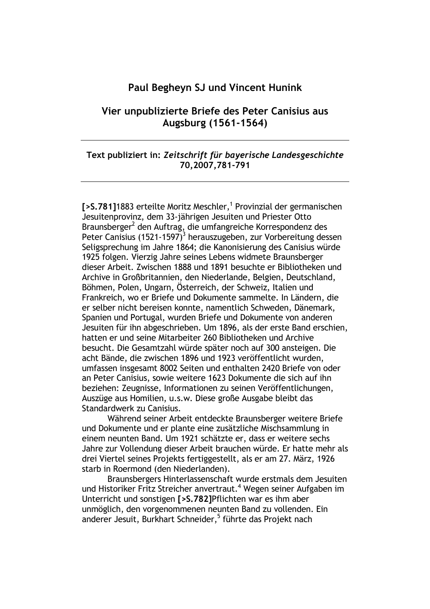### Paul Begheyn SJ und Vincent Hunink

## Vier unpublizierte Briefe des Peter Canisius aus Augsburg (1561-1564)

#### Text publiziert in: Zeitschrift für bayerische Landesgeschichte 70,2007,781-791

[>S.781]1883 erteilte Moritz Meschler,<sup>1</sup> Provinzial der germanischen Jesuitenprovinz, dem 33-jährigen Jesuiten und Priester Otto Braunsberger<sup>2</sup> den Auftrag, die umfangreiche Korrespondenz des Peter Canisius (1521-1597)<sup>3</sup> herauszugeben, zur Vorbereitung dessen Seligsprechung im Jahre 1864; die Kanonisierung des Canisius würde 1925 folgen. Vierzig Jahre seines Lebens widmete Braunsberger dieser Arbeit. Zwischen 1888 und 1891 besuchte er Bibliotheken und Archive in Großbritannien, den Niederlande, Belgien, Deutschland, Böhmen, Polen, Ungarn, Österreich, der Schweiz, Italien und Frankreich, wo er Briefe und Dokumente sammelte. In Ländern, die er selber nicht bereisen konnte, namentlich Schweden, Dänemark, Spanien und Portugal, wurden Briefe und Dokumente von anderen Jesuiten für ihn abgeschrieben. Um 1896, als der erste Band erschien, hatten er und seine Mitarbeiter 260 Bibliotheken und Archive besucht. Die Gesamtzahl würde später noch auf 300 ansteigen. Die acht Bände, die zwischen 1896 und 1923 veröffentlicht wurden, umfassen insgesamt 8002 Seiten und enthalten 2420 Briefe von oder an Peter Canisius, sowie weitere 1623 Dokumente die sich auf ihn beziehen: Zeugnisse, Informationen zu seinen Veröffentlichungen, Auszüge aus Homilien, u.s.w. Diese große Ausgabe bleibt das Standardwerk zu Canisius.

Während seiner Arbeit entdeckte Braunsberger weitere Briefe und Dokumente und er plante eine zusätzliche Mischsammlung in einem neunten Band. Um 1921 schätzte er, dass er weitere sechs Jahre zur Vollendung dieser Arbeit brauchen würde. Er hatte mehr als drei Viertel seines Projekts fertiggestellt, als er am 27. März, 1926 starb in Roermond (den Niederlanden).

Braunsbergers Hinterlassenschaft wurde erstmals dem Jesuiten und Historiker Fritz Streicher anvertraut.<sup>4</sup> Wegen seiner Aufgaben im Unterricht und sonstigen [>S.782]Pflichten war es ihm aber unmöglich, den vorgenommenen neunten Band zu vollenden. Ein anderer Jesuit, Burkhart Schneider,<sup>5</sup> führte das Projekt nach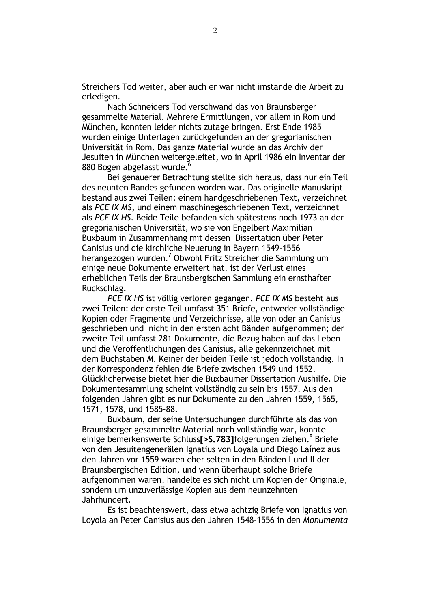Streichers Tod weiter, aber auch er war nicht imstande die Arbeit zu erledigen.

Nach Schneiders Tod verschwand das von Braunsberger gesammelte Material. Mehrere Ermittlungen, vor allem in Rom und München, konnten leider nichts zutage bringen. Erst Ende 1985 wurden einige Unterlagen zurückgefunden an der gregorianischen Universität in Rom. Das ganze Material wurde an das Archiv der Jesuiten in München weitergeleitet, wo in April 1986 ein Inventar der 880 Bogen abgefasst wurde.<sup>6</sup>

Bei genauerer Betrachtung stellte sich heraus, dass nur ein Teil des neunten Bandes gefunden worden war. Das originelle Manuskript bestand aus zwei Teilen: einem handgeschriebenen Text, verzeichnet als PCE IX MS, und einem maschinegeschriebenen Text, verzeichnet als PCE IX HS. Beide Teile befanden sich spätestens noch 1973 an der gregorianischen Universität, wo sie von Engelbert Maximilian Buxbaum in Zusammenhang mit dessen Dissertation über Peter Canisius und die kirchliche Neuerung in Bayern 1549-1556 herangezogen wurden.<sup>7</sup> Obwohl Fritz Streicher die Sammlung um einige neue Dokumente erweitert hat, ist der Verlust eines erheblichen Teils der Braunsbergischen Sammlung ein ernsthafter Rückschlag.

PCE IX HS ist völlig verloren gegangen. PCE IX MS besteht aus zwei Teilen: der erste Teil umfasst 351 Briefe, entweder vollständige Kopien oder Fragmente und Verzeichnisse, alle von oder an Canisius geschrieben und nicht in den ersten acht Bänden aufgenommen: der zweite Teil umfasst 281 Dokumente, die Bezug haben auf das Leben und die Veröffentlichungen des Canisius, alle gekennzeichnet mit dem Buchstaben M. Keiner der beiden Teile ist jedoch vollständig. In der Korrespondenz fehlen die Briefe zwischen 1549 und 1552. Glücklicherweise bietet hier die Buxbaumer Dissertation Aushilfe. Die Dokumentesammlung scheint vollständig zu sein bis 1557. Aus den folgenden Jahren gibt es nur Dokumente zu den Jahren 1559, 1565, 1571, 1578, und 1585-88.

Buxbaum, der seine Untersuchungen durchführte als das von Braunsberger gesammelte Material noch vollständig war, konnte einige bemerkenswerte Schluss<sup>[> > 5</sup>, 783] folgerungen ziehen.<sup>8</sup> Briefe von den Jesuitengenerälen Ignatius von Lovala und Diego Lainez aus den Jahren vor 1559 waren eher selten in den Bänden I und II der Braunsbergischen Edition, und wenn überhaupt solche Briefe aufgenommen waren, handelte es sich nicht um Kopien der Originale, sondern um unzuverlässige Kopien aus dem neunzehnten Jahrhundert.

Es ist beachtenswert, dass etwa achtzig Briefe von Ignatius von Loyola an Peter Canisius aus den Jahren 1548-1556 in den Monumenta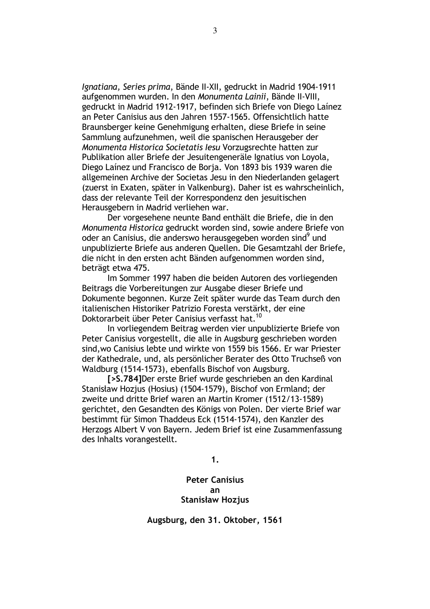Jgnatiana, Series prima, Bände II-XII, gedruckt in Madrid 1904-1911 aufgenommen wurden. In den Monumenta Lainii, Bände II-VIII, gedruckt in Madrid 1912-1917, befinden sich Briefe von Diego Lainez an Peter Canisius aus den Jahren 1557-1565. Offensichtlich hatte Braunsberger keine Genehmigung erhalten, diese Briefe in seine Sammlung aufzunehmen, weil die spanischen Herausgeber der Monumenta Historica Societatis lesu Vorzugsrechte hatten zur Publikation aller Briefe der Jesuitengeneräle Ignatius von Loyola, Diego Laínez und Francisco de Borja. Von 1893 bis 1939 waren die allgemeinen Archive der Societas Jesu in den Niederlanden gelagert (zuerst in Exaten, später in Valkenburg). Daher ist es wahrscheinlich, dass der relevante Teil der Korrespondenz den jesuitischen Herausgebern in Madrid verliehen war.

Der vorgesehene neunte Band enthält die Briefe, die in den Monumenta Historica gedruckt worden sind, sowie andere Briefe von oder an Canisius, die anderswo herausgegeben worden sind<sup>9</sup> und unpublizierte Briefe aus anderen Quellen. Die Gesamtzahl der Briefe, die nicht in den ersten acht Bänden aufgenommen worden sind, beträgt etwa 475.

Im Sommer 1997 haben die beiden Autoren des vorliegenden Beitrags die Vorbereitungen zur Ausgabe dieser Briefe und Dokumente begonnen. Kurze Zeit später wurde das Team durch den italienischen Historiker Patrizio Foresta verstärkt, der eine Doktorarbeit über Peter Canisius verfasst hat.<sup>10</sup>

In vorliegendem Beitrag werden vier unpublizierte Briefe von Peter Canisius vorgestellt, die alle in Augsburg geschrieben worden sind, wo Canisius lebte und wirkte von 1559 bis 1566. Er war Priester der Kathedrale, und, als persönlicher Berater des Otto Truchseß von Waldburg (1514-1573), ebenfalls Bischof von Augsburg.

[>S.784] Der erste Brief wurde geschrieben an den Kardinal Stanisław Hozjus (Hosius) (1504-1579), Bischof von Ermland; der zweite und dritte Brief waren an Martin Kromer (1512/13-1589) gerichtet, den Gesandten des Königs von Polen. Der vierte Brief war bestimmt für Simon Thaddeus Eck (1514-1574), den Kanzler des Herzogs Albert V von Bayern. Jedem Brief ist eine Zusammenfassung des Inhalts vorangestellt.

 $1.$ 

#### **Peter Canisius**  $\mathbf{a}$ **Stanisław Hozjus**

Augsburg, den 31. Oktober, 1561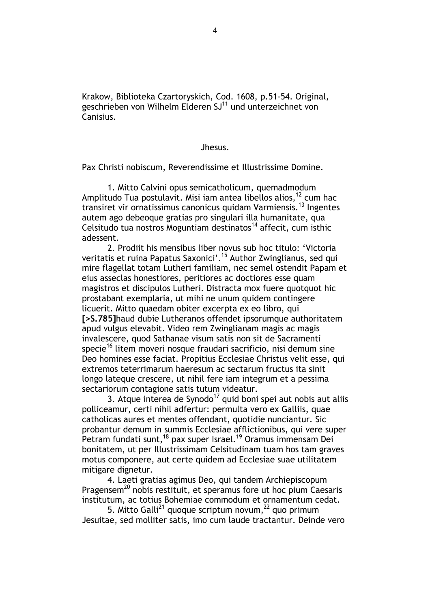Krakow, Biblioteka Czartoryskich, Cod. 1608, p.51-54. Original, geschrieben von Wilhelm Elderen SJ<sup>11</sup> und unterzeichnet von Canisius.

Jhesus.

Pax Christi nobiscum, Reverendissime et Illustrissime Domine.

1. Mitto Calvini opus semicatholicum, quemadmodum Amplitudo Tua postulavit. Misi iam antea libellos alios, <sup>12</sup> cum hac transiret vir ornatissimus canonicus quidam Varmiensis.<sup>13</sup> Ingentes autem ago debeoque gratias pro singulari illa humanitate, qua Celsitudo tua nostros Moguntiam destinatos<sup>14</sup> affecit, cum isthic adessent.

2. Prodiit his mensibus liber novus sub hoc titulo: 'Victoria veritatis et ruina Papatus Saxonici'.<sup>15</sup> Author Zwinglianus, sed qui mire flagellat totam Lutheri familiam, nec semel ostendit Papam et eius asseclas honestiores, peritiores ac doctiores esse quam magistros et discipulos Lutheri. Distracta mox fuere quotquot hic prostabant exemplaria, ut mihi ne unum quidem contingere licuerit. Mitto quaedam obiter excerpta ex eo libro, qui [>S.785] haud dubie Lutheranos offendet ipsorumque authoritatem apud vulgus elevabit. Video rem Zwinglianam magis ac magis invalescere, quod Sathanae visum satis non sit de Sacramenti specie<sup>16</sup> litem moveri nosque fraudari sacrificio, nisi demum sine Deo homines esse faciat. Propitius Ecclesiae Christus velit esse, qui extremos teterrimarum haeresum ac sectarum fructus ita sinit longo lateque crescere, ut nihil fere iam integrum et a pessima sectariorum contagione satis tutum videatur.

3. Atque interea de Synodo<sup>17</sup> quid boni spei aut nobis aut aliis polliceamur, certi nihil adfertur: permulta vero ex Galliis, quae catholicas aures et mentes offendant, quotidie nunciantur. Sic probantur demum in summis Ecclesiae afflictionibus, qui vere super Petram fundati sunt, <sup>18</sup> pax super Israel.<sup>19</sup> Oramus immensam Dei bonitatem, ut per Illustrissimam Celsitudinam tuam hos tam graves motus componere, aut certe quidem ad Ecclesiae suae utilitatem mitigare dignetur.

4. Laeti gratias agimus Deo, qui tandem Archiepiscopum Pragensem<sup>20</sup> nobis restituit, et speramus fore ut hoc pium Caesaris institutum, ac totius Bohemiae commodum et ornamentum cedat.

5. Mitto Galli<sup>21</sup> quoque scriptum novum, <sup>22</sup> quo primum Jesuitae, sed molliter satis, imo cum laude tractantur. Deinde vero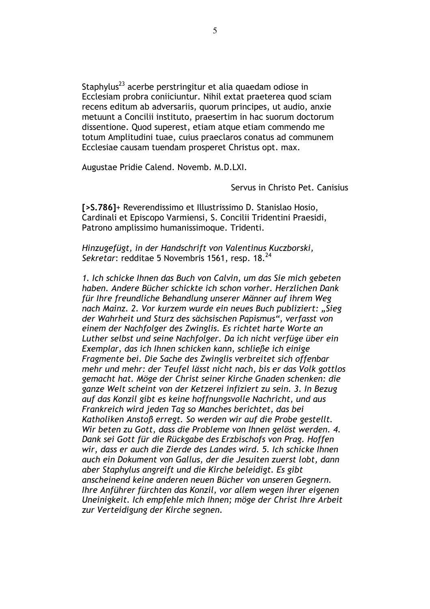Staphylus<sup>23</sup> acerbe perstringitur et alia quaedam odiose in Ecclesiam probra coniiciuntur. Nihil extat praeterea quod sciam recens editum ab adversariis, quorum principes, ut audio, anxie metuunt a Concilii instituto, praesertim in hac suorum doctorum dissentione. Quod superest, etiam atque etiam commendo me totum Amplitudini tuae, cuius praeclaros conatus ad communem Ecclesiae causam tuendam prosperet Christus opt. max.

Augustae Pridie Calend. Novemb. M.D.LXI.

Servus in Christo Pet Canisius

[>S.786]+ Reverendissimo et Illustrissimo D. Stanislao Hosio, Cardinali et Episcopo Varmiensi, S. Concilii Tridentini Praesidi, Patrono amplissimo humanissimoque. Tridenti.

Hinzugefügt, in der Handschrift von Valentinus Kuczborski, Sekretar: redditae 5 Novembris 1561, resp. 18.<sup>24</sup>

1. Ich schicke Ihnen das Buch von Calvin, um das Sie mich gebeten haben. Andere Bücher schickte ich schon vorher. Herzlichen Dank für Ihre freundliche Behandlung unserer Männer auf ihrem Weg nach Mainz. 2. Vor kurzem wurde ein neues Buch publiziert: "Sieg der Wahrheit und Sturz des sächsischen Papismus", verfasst von einem der Nachfolger des Zwinglis. Es richtet harte Worte an Luther selbst und seine Nachfolger. Da ich nicht verfüge über ein Exemplar, das ich Ihnen schicken kann, schließe ich einige Fragmente bei. Die Sache des Zwinglis verbreitet sich offenbar mehr und mehr: der Teufel lässt nicht nach, bis er das Volk gottlos gemacht hat. Möge der Christ seiner Kirche Gnaden schenken: die ganze Welt scheint von der Ketzerei infiziert zu sein. 3. In Bezug auf das Konzil gibt es keine hoffnungsvolle Nachricht, und aus Frankreich wird jeden Tag so Manches berichtet, das bei Katholiken Anstoß erregt. So werden wir auf die Probe gestellt. Wir beten zu Gott, dass die Probleme von Ihnen gelöst werden. 4. Dank sei Gott für die Rückgabe des Erzbischofs von Prag. Hoffen wir, dass er auch die Zierde des Landes wird, 5, Ich schicke Ihnen auch ein Dokument von Gallus, der die Jesuiten zuerst lobt, dann aber Staphylus angreift und die Kirche beleidigt. Es gibt anscheinend keine anderen neuen Bücher von unseren Gegnern. Ihre Anführer fürchten das Konzil, vor allem wegen ihrer eigenen Uneinigkeit. Ich empfehle mich Ihnen; möge der Christ Ihre Arbeit zur Verteidigung der Kirche segnen.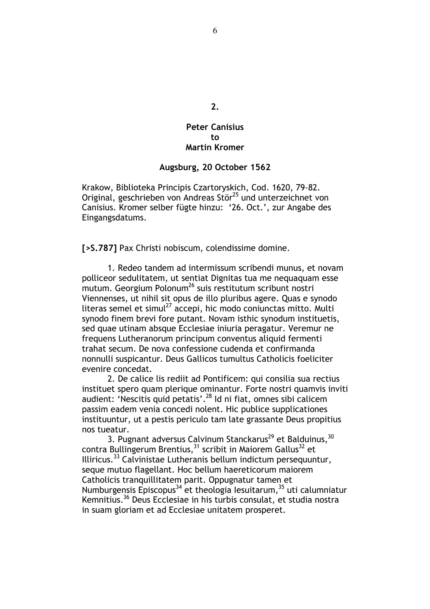# **Peter Canisius**  $f<sub>0</sub>$

 $2.$ 

#### **Martin Kromer**

#### Augsburg, 20 October 1562

Krakow, Biblioteka Principis Czartoryskich, Cod. 1620, 79-82. Original, geschrieben von Andreas Stör<sup>25</sup> und unterzeichnet von Canisius. Kromer selber fügte hinzu: '26. Oct.', zur Angabe des Eingangsdatums.

[>S.787] Pax Christi nobiscum, colendissime domine.

1. Redeo tandem ad intermissum scribendi munus, et novam polliceor sedulitatem, ut sentiat Dignitas tua me nequaquam esse mutum. Georgium Polonum<sup>26</sup> suis restitutum scribunt nostri Viennenses, ut nihil sit opus de illo pluribus agere. Quas e synodo literas semel et simul<sup>27</sup> accepi, hic modo conjunctas mitto. Multi synodo finem brevi fore putant. Novam isthic synodum instituetis, sed quae utinam absque Ecclesiae iniuria peragatur. Veremur ne frequens Lutheranorum principum conventus aliquid fermenti trahat secum. De nova confessione cudenda et confirmanda nonnulli suspicantur. Deus Gallicos tumultus Catholicis foeliciter evenire concedat.

2. De calice lis rediit ad Pontificem: qui consilia sua rectius instituet spero quam plerique ominantur. Forte nostri quamvis inviti audient: 'Nescitis quid petatis'.<sup>28</sup> Id ni fiat, omnes sibi calicem passim eadem venia concedi nolent. Hic publice supplicationes instituuntur, ut a pestis periculo tam late grassante Deus propitius nos tueatur.

3. Pugnant adversus Calvinum Stanckarus<sup>29</sup> et Balduinus, 30 contra Bullingerum Brentius,<sup>31</sup> scribit in Maiorem Gallus<sup>32</sup> et Illiricus.<sup>33</sup> Calvinistae Lutheranis bellum indictum persequuntur, seque mutuo flagellant. Hoc bellum haereticorum maiorem Catholicis tranquillitatem parit. Oppugnatur tamen et Numburgensis Episcopus<sup>34</sup> et theologia lesuitarum,<sup>35</sup> uti calumniatur Kemnitius.<sup>36</sup> Deus Ecclesiae in his turbis consulat, et studia nostra in suam gloriam et ad Ecclesiae unitatem prosperet.

6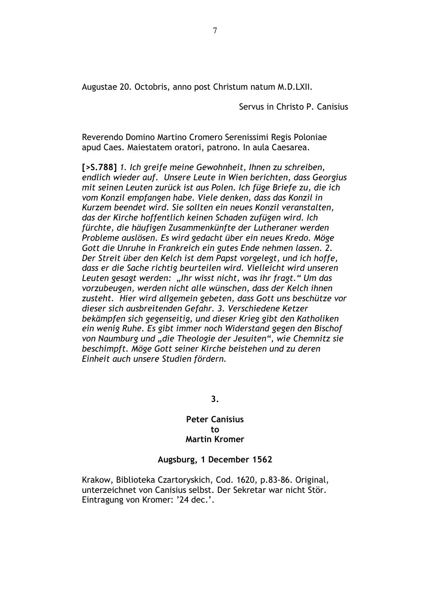Augustae 20. Octobris, anno post Christum natum M.D.LXII.

Servus in Christo P. Canisius

Reverendo Domino Martino Cromero Serenissimi Regis Poloniae apud Caes. Maiestatem oratori, patrono. In aula Caesarea.

[>S.788] 1. Ich greife meine Gewohnheit, Ihnen zu schreiben, endlich wieder auf. Unsere Leute in Wien berichten, dass Georgius mit seinen Leuten zurück ist aus Polen. Ich füge Briefe zu, die ich vom Konzil empfangen habe. Viele denken, dass das Konzil in Kurzem beendet wird. Sie sollten ein neues Konzil veranstalten. das der Kirche hoffentlich keinen Schaden zufügen wird. Ich fürchte, die häufigen Zusammenkünfte der Lutheraner werden Probleme auslösen. Es wird gedacht über ein neues Kredo. Möge Gott die Unruhe in Frankreich ein gutes Ende nehmen lassen. 2. Der Streit über den Kelch ist dem Papst vorgelegt, und ich hoffe, dass er die Sache richtig beurteilen wird. Vielleicht wird unseren Leuten gesagt werden: "Ihr wisst nicht, was ihr fragt." Um das vorzubeugen, werden nicht alle wünschen, dass der Kelch ihnen zusteht. Hier wird allgemein gebeten, dass Gott uns beschütze vor dieser sich ausbreitenden Gefahr. 3. Verschiedene Ketzer bekämpfen sich gegenseitig, und dieser Krieg gibt den Katholiken ein wenig Ruhe. Es gibt immer noch Widerstand gegen den Bischof von Naumburg und "die Theologie der Jesuiten", wie Chemnitz sie beschimpft. Möge Gott seiner Kirche beistehen und zu deren Einheit auch unsere Studien fördern.

3.

#### **Peter Canisius**  $f<sub>0</sub>$ **Martin Kromer**

#### Augsburg, 1 December 1562

Krakow, Biblioteka Czartoryskich, Cod. 1620, p.83-86. Original, unterzeichnet von Canisius selbst. Der Sekretar war nicht Stör. Eintragung von Kromer: '24 dec.'.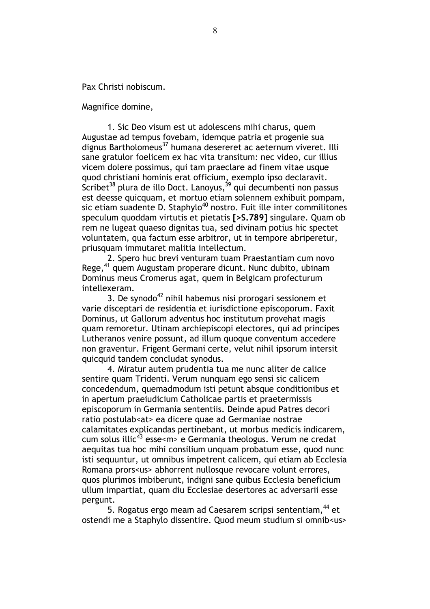Pax Christi nobiscum.

Magnifice domine,

1. Sic Deo visum est ut adolescens mihi charus, quem Augustae ad tempus fovebam, idemque patria et progenie sua dignus Bartholomeus<sup>37</sup> humana desereret ac aeternum viveret. Illi sane gratulor foelicem ex hac vita transitum: nec video, cur illius vicem dolere possimus, qui tam praeclare ad finem vitae usque quod christiani hominis erat officium, exemplo ipso declaravit. Scribet<sup>38</sup> plura de illo Doct. Lanoyus,<sup>39</sup> qui decumbenti non passus est deesse quicquam, et mortuo etiam solennem exhibuit pompam, sic etiam suadente D. Staphylo $^{40}$  nostro. Fuit ille inter commilitones speculum quoddam virtutis et pietatis [>S.789] singulare. Quam ob rem ne lugeat quaeso dignitas tua, sed divinam potius hic spectet voluntatem, qua factum esse arbitror, ut in tempore abriperetur, priusquam immutaret malitia intellectum.

2. Spero huc brevi venturam tuam Praestantiam cum novo Rege,<sup>41</sup> quem Augustam properare dicunt. Nunc dubito, ubinam Dominus meus Cromerus agat, quem in Belgicam profecturum intellexeram.

3. De synodo<sup>42</sup> nihil habemus nisi prorogari sessionem et varie disceptari de residentia et iurisdictione episcoporum. Faxit Dominus, ut Gallorum adventus hoc institutum provehat magis quam remoretur. Utinam archiepiscopi electores, qui ad principes Lutheranos venire possunt, ad illum quoque conventum accedere non graventur. Frigent Germani certe, velut nihil ipsorum intersit quicquid tandem concludat synodus.

4. Miratur autem prudentia tua me nunc aliter de calice sentire quam Tridenti. Verum nunguam ego sensi sic calicem concedendum, quemadmodum isti petunt absque conditionibus et in apertum praeiudicium Catholicae partis et praetermissis episcoporum in Germania sententiis. Deinde apud Patres decori ratio postulab<at> ea dicere quae ad Germaniae nostrae calamitates explicandas pertinebant, ut morbus medicis indicarem, cum solus illic<sup>43</sup> esse<m> e Germania theologus. Verum ne credat aequitas tua hoc mihi consilium unquam probatum esse, quod nunc isti sequuntur, ut omnibus impetrent calicem, qui etiam ab Ecclesia Romana prors<us> abhorrent nullosque revocare volunt errores, quos plurimos imbiberunt, indigni sane quibus Ecclesia beneficium ullum impartiat, quam diu Ecclesiae desertores ac adversarii esse pergunt.

5. Rogatus ergo meam ad Caesarem scripsi sententiam, $^\mathrm{44}$  et ostendi me a Staphylo dissentire. Quod meum studium si omnib<us>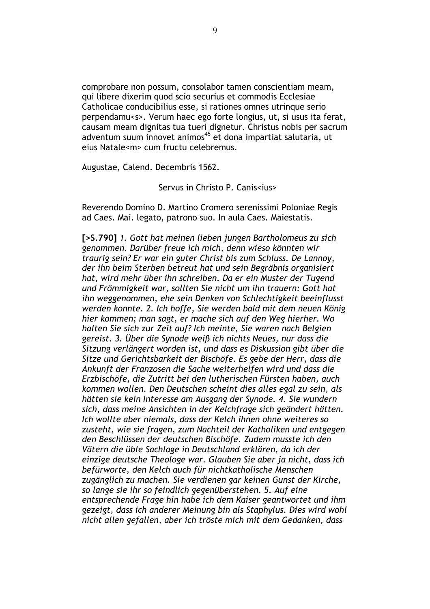comprobare non possum, consolabor tamen conscientiam meam, qui libere dixerim quod scio securius et commodis Ecclesiae Catholicae conducibilius esse, si rationes omnes utrinque serio perpendamu<s>. Verum haec ego forte longius, ut, si usus ita ferat, causam meam dignitas tua tueri dignetur. Christus nobis per sacrum adventum suum innovet animos<sup>45</sup> et dona impartiat salutaria, ut eius Natale<m> cum fructu celebremus.

Augustae, Calend. Decembris 1562.

Servus in Christo P Canissius>

Reverendo Domino D. Martino Cromero serenissimi Poloniae Regis ad Caes. Mai. legato, patrono suo. In aula Caes. Maiestatis.

[>S.790] 1. Gott hat meinen lieben jungen Bartholomeus zu sich genommen. Darüber freue ich mich, denn wieso könnten wir traurig sein? Er war ein guter Christ bis zum Schluss. De Lannov. der ihn beim Sterben betreut hat und sein Begräbnis organisiert hat, wird mehr über ihn schreiben. Da er ein Muster der Tugend und Frömmigkeit war, sollten Sie nicht um ihn trauern: Gott hat ihn weggenommen, ehe sein Denken von Schlechtigkeit beeinflusst werden konnte. 2. Ich hoffe, Sie werden bald mit dem neuen König hier kommen; man sagt, er mache sich auf den Weg hierher. Wo halten Sie sich zur Zeit auf? Ich meinte, Sie waren nach Belgien gereist. 3. Über die Synode weiß ich nichts Neues, nur dass die Sitzung verlängert worden ist, und dass es Diskussion gibt über die Sitze und Gerichtsbarkeit der Bischöfe. Es gebe der Herr, dass die Ankunft der Franzosen die Sache weiterhelfen wird und dass die Erzbischöfe, die Zutritt bei den lutherischen Fürsten haben, auch kommen wollen. Den Deutschen scheint dies alles egal zu sein, als hätten sie kein Interesse am Ausgang der Synode. 4. Sie wundern sich, dass meine Ansichten in der Kelchfrage sich geändert hätten. Ich wollte aber niemals, dass der Kelch ihnen ohne weiteres so zusteht, wie sie fragen, zum Nachteil der Katholiken und entgegen den Beschlüssen der deutschen Bischöfe. Zudem musste ich den Vätern die üble Sachlage in Deutschland erklären, da ich der einzige deutsche Theologe war. Glauben Sie aber ja nicht, dass ich befürworte, den Kelch auch für nichtkatholische Menschen zugänglich zu machen. Sie verdienen gar keinen Gunst der Kirche, so lange sie ihr so feindlich gegenüberstehen. 5. Auf eine entsprechende Frage hin habe ich dem Kaiser geantwortet und ihm gezeigt, dass ich anderer Meinung bin als Staphylus. Dies wird wohl nicht allen gefallen, aber ich tröste mich mit dem Gedanken, dass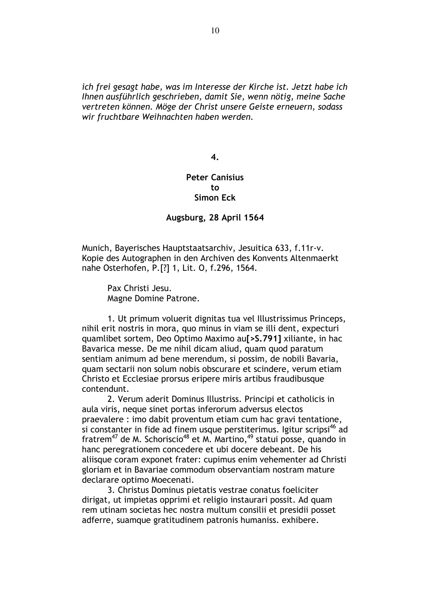ich frei gesagt habe, was im Interesse der Kirche ist. Jetzt habe ich Ihnen ausführlich geschrieben, damit Sie, wenn nötig, meine Sache vertreten können. Möge der Christ unsere Geiste erneuern, sodass wir fruchtbare Weihnachten haben werden.

 $\overline{\mathbf{4}}$ .

#### **Peter Canisius**  $t_{0}$ **Simon Eck**

#### Augsburg, 28 April 1564

Munich, Bayerisches Hauptstaatsarchiv, Jesuitica 633, f.11r-v. Kopie des Autographen in den Archiven des Konvents Altenmaerkt nahe Osterhofen, P.[?] 1, Lit. O, f.296, 1564.

Pax Christi Jesu. Magne Domine Patrone.

1. Ut primum voluerit dignitas tua vel Illustrissimus Princeps, nihil erit nostris in mora, quo minus in viam se illi dent, expecturi quamlibet sortem, Deo Optimo Maximo aul > 5.791] xiliante, in hac Bavarica messe. De me nihil dicam aliud, quam quod paratum sentiam animum ad bene merendum, si possim, de nobili Bavaria, quam sectarii non solum nobis obscurare et scindere, verum etiam Christo et Ecclesiae prorsus eripere miris artibus fraudibusque contendunt.

2. Verum aderit Dominus Illustriss. Principi et catholicis in aula viris, neque sinet portas inferorum adversus electos praevalere : imo dabit proventum etiam cum hac gravi tentatione, si constanter in fide ad finem usque perstiterimus. Igitur scripsi<sup>46</sup> ad fratrem<sup>47</sup> de M. Schoriscio<sup>48</sup> et M. Martino, <sup>49</sup> statui posse, quando in hanc peregrationem concedere et ubi docere debeant. De his aliisque coram exponet frater: cupimus enim vehementer ad Christi gloriam et in Bavariae commodum observantiam nostram mature declarare optimo Moecenati.

3. Christus Dominus pietatis vestrae conatus foeliciter dirigat, ut impietas opprimi et religio instaurari possit. Ad quam rem utinam societas hec nostra multum consilii et presidii posset adferre, suamque gratitudinem patronis humaniss. exhibere.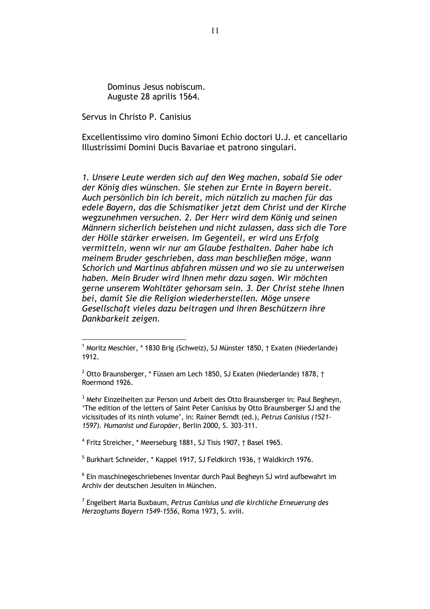Dominus Jesus nobiscum. Auguste 28 aprilis 1564.

Servus in Christo P. Canisius

Excellentissimo viro domino Simoni Echio doctori U.J. et cancellario Illustrissimi Domini Ducis Bavariae et patrono singulari.

1. Unsere Leute werden sich auf den Weg machen, sobald Sie oder der König dies wünschen. Sie stehen zur Ernte in Bavern bereit. Auch persönlich bin ich bereit, mich nützlich zu machen für das edele Bayern, das die Schismatiker jetzt dem Christ und der Kirche wegzunehmen versuchen. 2. Der Herr wird dem König und seinen Männern sicherlich beistehen und nicht zulassen, dass sich die Tore der Hölle stärker erweisen. Im Gegenteil, er wird uns Erfolg vermitteln, wenn wir nur am Glaube festhalten. Daher habe ich meinem Bruder geschrieben, dass man beschließen möge, wann Schorich und Martinus abfahren müssen und wo sie zu unterweisen haben. Mein Bruder wird Ihnen mehr dazu sagen. Wir möchten gerne unserem Wohltäter gehorsam sein. 3. Der Christ stehe Ihnen bei, damit Sie die Religion wiederherstellen. Möge unsere Gesellschaft vieles dazu beitragen und ihren Beschützern ihre Dankbarkeit zeigen.

<sup>4</sup> Fritz Streicher, \* Meerseburg 1881, SJ Tisis 1907, † Basel 1965.

<sup>5</sup> Burkhart Schneider, \* Kappel 1917, SJ Feldkirch 1936, † Waldkirch 1976.

<sup>6</sup> Ein maschinegeschriebenes Inventar durch Paul Begheyn SJ wird aufbewahrt im Archiv der deutschen Jesuiten in München.

<sup>7</sup> Engelbert Maria Buxbaum, Petrus Canisius und die kirchliche Erneuerung des Herzogtums Bayern 1549-1556, Roma 1973, S. xviii.

<sup>&</sup>lt;sup>1</sup> Moritz Meschler, \* 1830 Brig (Schweiz), SJ Münster 1850, † Exaten (Niederlande) 1912.

<sup>&</sup>lt;sup>2</sup> Otto Braunsberger, \* Füssen am Lech 1850, SJ Exaten (Niederlande) 1878, † Roermond 1926.

<sup>&</sup>lt;sup>3</sup> Mehr Einzelheiten zur Person und Arbeit des Otto Braunsberger in: Paul Begheyn, 'The edition of the letters of Saint Peter Canisius by Otto Braunsberger SJ and the vicissitudes of its ninth volume', in: Rainer Berndt (ed.), Petrus Canisius (1521-1597). Humanist und Europäer, Berlin 2000, S. 303-311.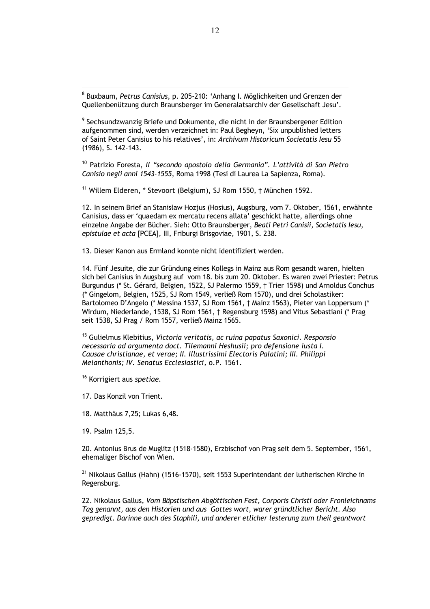8 Buxbaum, Petrus Canisius, p. 205-210: 'Anhang I. Möglichkeiten und Grenzen der Quellenbenützung durch Braunsberger im Generalatsarchiv der Gesellschaft Jesu'.

<sup>9</sup> Sechsundzwanzig Briefe und Dokumente, die nicht in der Braunsbergener Edition aufgenommen sind, werden verzeichnet in: Paul Begheyn, 'Six unpublished letters of Saint Peter Canisius to his relatives', in: Archivum Historicum Societatis Iesu 55  $(1986)$ , S. 142-143.

<sup>10</sup> Patrizio Foresta, Il "secondo apostolo della Germania". L'attività di San Pietro Canisio negli anni 1543-1555, Roma 1998 (Tesi di Laurea La Sapienza, Roma).

 $11$  Willem Elderen,  $*$  Stevoort (Belgium), SJ Rom 1550,  $\dagger$  München 1592.

12. In seinem Brief an Stanisław Hozjus (Hosius), Augsburg, vom 7. Oktober, 1561, erwähnte Canisius, dass er 'quaedam ex mercatu recens allata' geschickt hatte, allerdings ohne einzelne Angabe der Bücher. Sieh: Otto Braunsberger, Beati Petri Canisii, Societatis Iesu, epistulae et acta [PCEA], III, Friburgi Brisgoviae, 1901, S. 238.

13. Dieser Kanon aus Ermland konnte nicht identifiziert werden.

14. Fünf Jesuite, die zur Gründung eines Kollegs in Mainz aus Rom gesandt waren, hielten sich bei Canisius in Augsburg auf vom 18. bis zum 20. Oktober. Es waren zwei Priester: Petrus Burgundus (\* St. Gérard, Belgien, 1522, SJ Palermo 1559, † Trier 1598) und Arnoldus Conchus (\* Gingelom, Belgien, 1525, SJ Rom 1549, verließ Rom 1570), und drei Scholastiker: Bartolomeo D'Angelo (\* Messina 1537, SJ Rom 1561, † Mainz 1563), Pieter van Loppersum (\* Wirdum, Niederlande, 1538, SJ Rom 1561, † Regensburg 1598) and Vitus Sebastiani (\* Prag seit 1538, SJ Prag / Rom 1557, verließ Mainz 1565.

<sup>15</sup> Gulielmus Klebitius, Victoria veritatis, ac ruina papatus Saxonici, Responsio necessaria ad argumenta doct. Tilemanni Heshusii; pro defensione iusta I. Causae christianae, et verae; II. Illustrissimi Electoris Palatini; III. Philippi Melanthonis; IV. Senatus Ecclesiastici, o.P. 1561.

<sup>16</sup> Korrigiert aus spetiae.

17. Das Konzil von Trient.

18. Matthäus 7,25; Lukas 6,48.

19. Psalm 125,5.

20. Antonius Brus de Muglitz (1518-1580), Erzbischof von Prag seit dem 5. September, 1561, ehemaliger Bischof von Wien.

<sup>21</sup> Nikolaus Gallus (Hahn) (1516-1570), seit 1553 Superintendant der lutherischen Kirche in Regensburg.

22. Nikolaus Gallus, Vom Bäpstischen Abgöttischen Fest, Corporis Christi oder Fronleichnams Tag genannt, aus den Historien und aus Gottes wort, warer gründtlicher Bericht. Also gepredigt. Darinne auch des Staphili, und anderer etlicher lesterung zum theil geantwort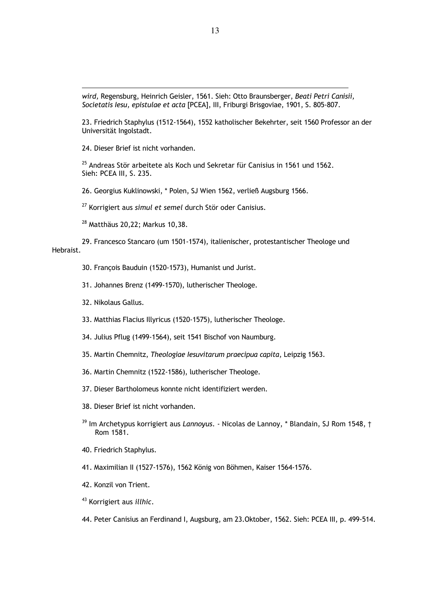wird, Regensburg, Heinrich Geisler, 1561. Sieh: Otto Braunsberger, Beati Petri Canisii, Societatis Iesu, epistulae et acta [PCEA], III, Friburgi Brisgoviae, 1901, S. 805-807.

23. Friedrich Staphylus (1512-1564), 1552 katholischer Bekehrter, seit 1560 Professor an der Universität Ingolstadt.

24. Dieser Brief ist nicht vorhanden.

<sup>25</sup> Andreas Stör arbeitete als Koch und Sekretar für Canisius in 1561 und 1562. Sieh: PCEA III, S. 235.

26. Georgius Kuklinowski, \* Polen, SJ Wien 1562, verließ Augsburg 1566.

<sup>27</sup> Korrigiert aus simul et semel durch Stör oder Canisius.

<sup>28</sup> Matthäus 20,22; Markus 10,38.

29. Francesco Stancaro (um 1501-1574), italienischer, protestantischer Theologe und Hebraist.

30. Francois Bauduin (1520-1573), Humanist und Jurist.

31. Johannes Brenz (1499-1570), lutherischer Theologe.

- 32. Nikolaus Gallus.
- 33. Matthias Flacius Illyricus (1520-1575), lutherischer Theologe.

34. Julius Pflug (1499-1564), seit 1541 Bischof von Naumburg.

35. Martin Chemnitz, Theologiae Iesuvitarum praecipua capita, Leipzig 1563.

- 36. Martin Chemnitz (1522-1586), lutherischer Theologe.
- 37. Dieser Bartholomeus konnte nicht identifiziert werden.
- 38. Dieser Brief ist nicht vorhanden.
- <sup>39</sup> Im Archetypus korrigiert aus Lannovus. Nicolas de Lannov, \* Blandain, SJ Rom 1548, † Rom 1581.
- 40. Friedrich Staphylus.
- 41. Maximilian II (1527-1576), 1562 König von Böhmen, Kaiser 1564-1576.
- 42. Konzil von Trient.
- <sup>43</sup> Korrigiert aus *illhic*.

44. Peter Canisius an Ferdinand I, Augsburg, am 23. Oktober, 1562. Sieh: PCEA III, p. 499-514.